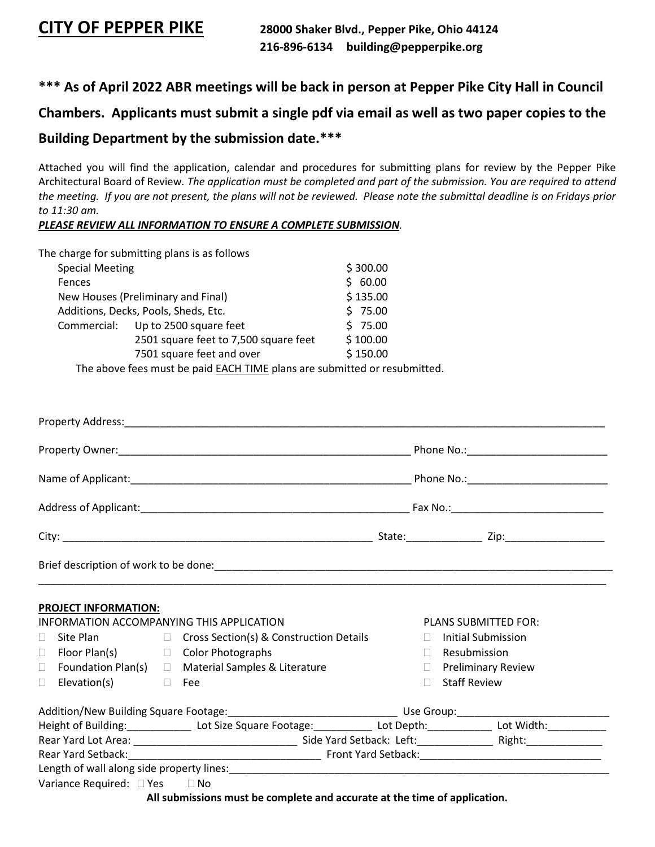# **\*\*\* As of April 2022 ABR meetings will be back in person at Pepper Pike City Hall in Council**

# **Chambers. Applicants must submit a single pdf via email as well as two paper copies to the**

# **Building Department by the submission date.\*\*\***

Attached you will find the application, calendar and procedures for submitting plans for review by the Pepper Pike Architectural Board of Review*. The application must be completed and part of the submission. You are required to attend the meeting. If you are not present, the plans will not be reviewed. Please note the submittal deadline is on Fridays prior to 11:30 am.* 

*PLEASE REVIEW ALL INFORMATION TO ENSURE A COMPLETE SUBMISSION.* 

|                                    | The charge for submitting plans is as follows                       |          |  |
|------------------------------------|---------------------------------------------------------------------|----------|--|
|                                    | <b>Special Meeting</b>                                              |          |  |
| Fences                             |                                                                     |          |  |
| New Houses (Preliminary and Final) | \$135.00                                                            |          |  |
|                                    | Additions, Decks, Pools, Sheds, Etc.                                |          |  |
|                                    | Commercial: Up to 2500 square feet                                  | \$75.00  |  |
|                                    | 2501 square feet to 7,500 square feet                               | \$100.00 |  |
|                                    | 7501 square feet and over                                           | \$150.00 |  |
|                                    | The above fees must be naid EACH TIME plans are submitted or resubm |          |  |

The above fees must be paid **EACH TIME** plans are submitted or resubmitted.

|                                                                                                                             | <b>PROJECT INFORMATION:</b>                |  |                                                                           |        |                                                            |  |  |
|-----------------------------------------------------------------------------------------------------------------------------|--------------------------------------------|--|---------------------------------------------------------------------------|--------|------------------------------------------------------------|--|--|
|                                                                                                                             |                                            |  | INFORMATION ACCOMPANYING THIS APPLICATION                                 |        | PLANS SUBMITTED FOR:                                       |  |  |
| $\Box$                                                                                                                      | Site Plan                                  |  | $\Box$ Cross Section(s) & Construction Details                            | П.     | Initial Submission                                         |  |  |
| $\Box$                                                                                                                      | Floor Plan(s) □ Color Photographs          |  |                                                                           | $\Box$ | Resubmission                                               |  |  |
| $\Box$<br>П.                                                                                                                | Elevation(s)<br><b>The Common Property</b> |  | Foundation Plan(s) $\Box$ Material Samples & Literature<br>Fee            | $\Box$ | <b>Preliminary Review</b><br>$\Box$<br><b>Staff Review</b> |  |  |
|                                                                                                                             |                                            |  |                                                                           |        |                                                            |  |  |
| Height of Building: ________________ Lot Size Square Footage: _____________ Lot Depth: ____________ Lot Width: ____________ |                                            |  |                                                                           |        |                                                            |  |  |
|                                                                                                                             |                                            |  |                                                                           |        |                                                            |  |  |
|                                                                                                                             |                                            |  |                                                                           |        |                                                            |  |  |
|                                                                                                                             |                                            |  |                                                                           |        |                                                            |  |  |
|                                                                                                                             | Variance Required: $\Box$ Yes $\Box$ No    |  |                                                                           |        |                                                            |  |  |
|                                                                                                                             |                                            |  | All submissions must be complete and accurate at the time of application. |        |                                                            |  |  |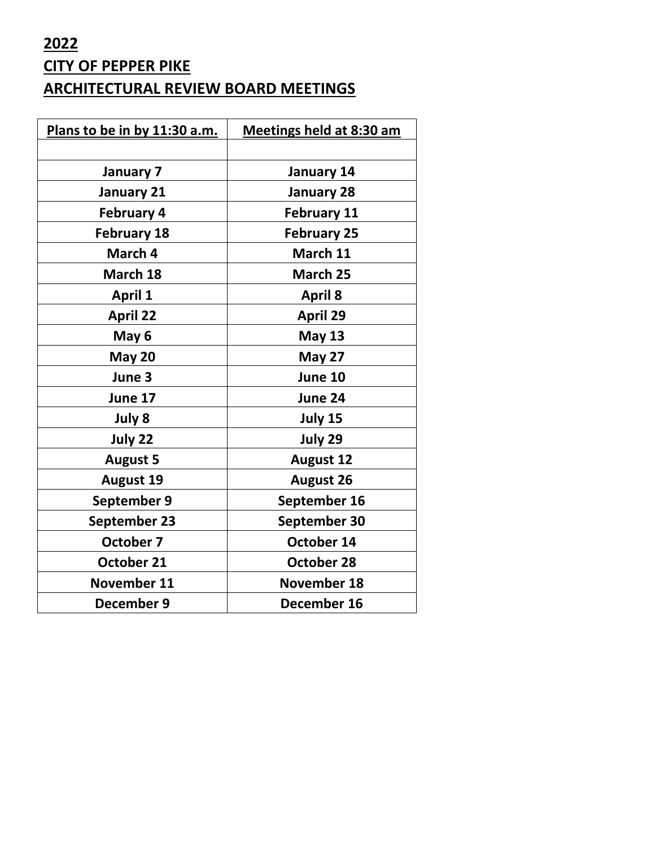# **2022 CITY OF PEPPER PIKE ARCHITECTURAL REVIEW BOARD MEETINGS**

| Plans to be in by 11:30 a.m. | <b>Meetings held at 8:30 am</b> |  |
|------------------------------|---------------------------------|--|
|                              |                                 |  |
| January 7                    | January 14                      |  |
| <b>January 21</b>            | <b>January 28</b>               |  |
| <b>February 4</b>            | <b>February 11</b>              |  |
| <b>February 18</b>           | <b>February 25</b>              |  |
| March 4                      | March 11                        |  |
| March 18                     | March 25                        |  |
| <b>April 1</b>               | <b>April 8</b>                  |  |
| <b>April 22</b>              | <b>April 29</b>                 |  |
| May 6                        | <b>May 13</b>                   |  |
| <b>May 20</b>                | May 27                          |  |
| June 3                       | June 10                         |  |
| June 17                      | June 24                         |  |
| July 8                       | July 15                         |  |
| July 22                      | July 29                         |  |
| <b>August 5</b>              | <b>August 12</b>                |  |
| <b>August 19</b>             | <b>August 26</b>                |  |
| September 9                  | September 16                    |  |
| <b>September 23</b>          | September 30                    |  |
| <b>October 7</b>             | October 14                      |  |
| October 21                   | October 28                      |  |
| November 11                  | <b>November 18</b>              |  |
| December 9                   | December 16                     |  |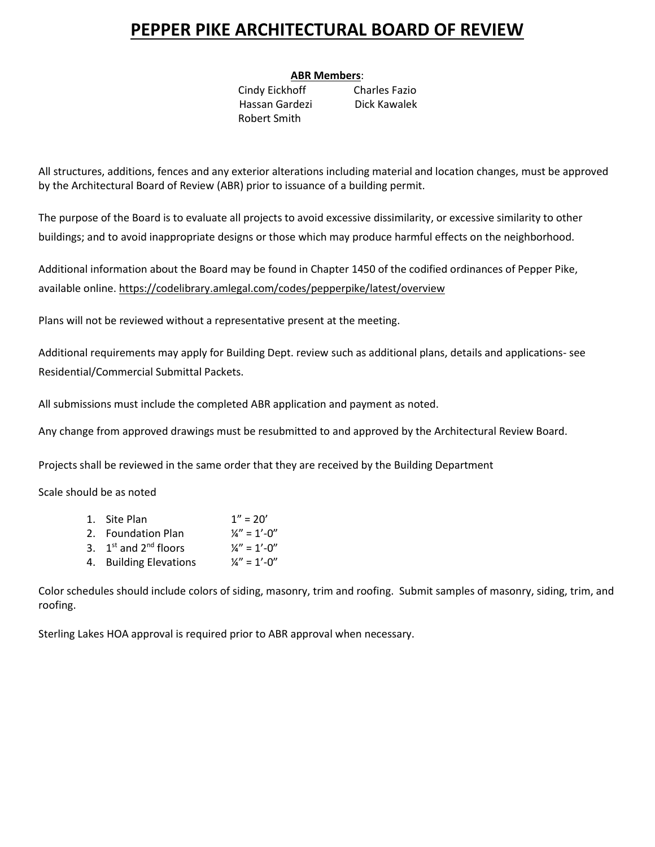# **PEPPER PIKE ARCHITECTURAL BOARD OF REVIEW**

### **ABR Members**:

Cindy Eickhoff Charles Fazio Hassan Gardezi Dick Kawalek Robert Smith

All structures, additions, fences and any exterior alterations including material and location changes, must be approved by the Architectural Board of Review (ABR) prior to issuance of a building permit.

The purpose of the Board is to evaluate all projects to avoid excessive dissimilarity, or excessive similarity to other buildings; and to avoid inappropriate designs or those which may produce harmful effects on the neighborhood.

Additional information about the Board may be found in Chapter 1450 of the codified ordinances of Pepper Pike, available online.<https://codelibrary.amlegal.com/codes/pepperpike/latest/overview>

Plans will not be reviewed without a representative present at the meeting.

Additional requirements may apply for Building Dept. review such as additional plans, details and applications- see Residential/Commercial Submittal Packets.

All submissions must include the completed ABR application and payment as noted.

Any change from approved drawings must be resubmitted to and approved by the Architectural Review Board.

Projects shall be reviewed in the same order that they are received by the Building Department

Scale should be as noted

| 1. Site Plan              | $1'' = 20'$             |
|---------------------------|-------------------------|
| 2. Foundation Plan        | $\frac{1}{4}$ " = 1'-0" |
| 3. $1st$ and $2nd$ floors | $\frac{1}{4}$ " = 1'-0" |
| 4. Building Elevations    | $\frac{1}{4}$ " = 1'-0" |

Color schedules should include colors of siding, masonry, trim and roofing. Submit samples of masonry, siding, trim, and roofing.

Sterling Lakes HOA approval is required prior to ABR approval when necessary.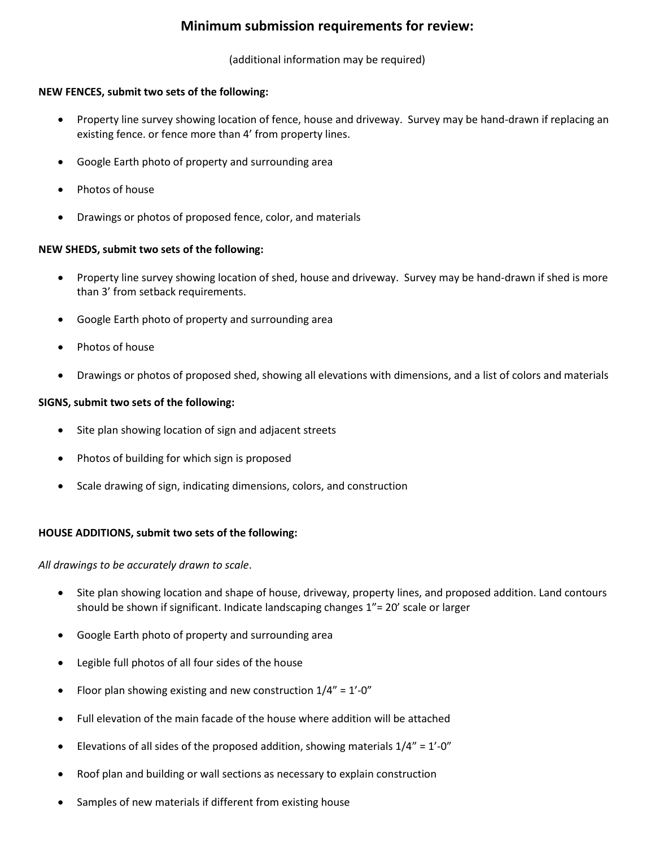# **Minimum submission requirements for review:**

(additional information may be required)

#### **NEW FENCES, submit two sets of the following:**

- Property line survey showing location of fence, house and driveway. Survey may be hand-drawn if replacing an existing fence. or fence more than 4' from property lines.
- Google Earth photo of property and surrounding area
- Photos of house
- Drawings or photos of proposed fence, color, and materials

#### **NEW SHEDS, submit two sets of the following:**

- Property line survey showing location of shed, house and driveway. Survey may be hand-drawn if shed is more than 3' from setback requirements.
- Google Earth photo of property and surrounding area
- Photos of house
- Drawings or photos of proposed shed, showing all elevations with dimensions, and a list of colors and materials

#### **SIGNS, submit two sets of the following:**

- Site plan showing location of sign and adjacent streets
- Photos of building for which sign is proposed
- Scale drawing of sign, indicating dimensions, colors, and construction

#### **HOUSE ADDITIONS, submit two sets of the following:**

*All drawings to be accurately drawn to scale*.

- Site plan showing location and shape of house, driveway, property lines, and proposed addition. Land contours should be shown if significant. Indicate landscaping changes 1"= 20' scale or larger
- Google Earth photo of property and surrounding area
- Legible full photos of all four sides of the house
- Floor plan showing existing and new construction  $1/4" = 1'-0"$
- Full elevation of the main facade of the house where addition will be attached
- Elevations of all sides of the proposed addition, showing materials  $1/4" = 1'-0"$
- Roof plan and building or wall sections as necessary to explain construction
- Samples of new materials if different from existing house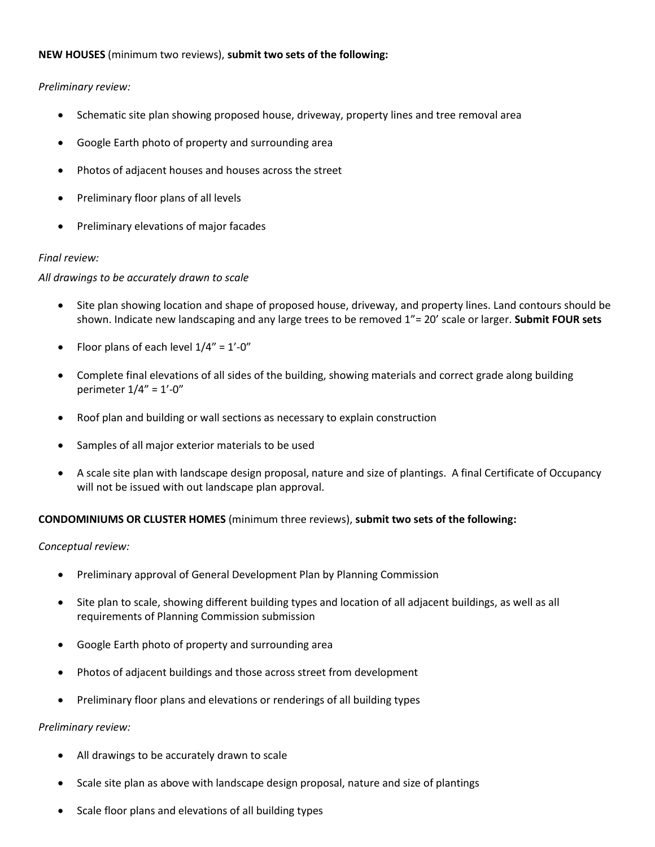#### **NEW HOUSES** (minimum two reviews), **submit two sets of the following:**

#### *Preliminary review:*

- Schematic site plan showing proposed house, driveway, property lines and tree removal area
- Google Earth photo of property and surrounding area
- Photos of adjacent houses and houses across the street
- Preliminary floor plans of all levels
- Preliminary elevations of major facades

#### *Final review:*

#### *All drawings to be accurately drawn to scale*

- Site plan showing location and shape of proposed house, driveway, and property lines. Land contours should be shown. Indicate new landscaping and any large trees to be removed 1"= 20' scale or larger. **Submit FOUR sets**
- Floor plans of each level  $1/4" = 1'-0"$
- Complete final elevations of all sides of the building, showing materials and correct grade along building perimeter 1/4" = 1'-0"
- Roof plan and building or wall sections as necessary to explain construction
- Samples of all major exterior materials to be used
- A scale site plan with landscape design proposal, nature and size of plantings. A final Certificate of Occupancy will not be issued with out landscape plan approval.

#### **CONDOMINIUMS OR CLUSTER HOMES** (minimum three reviews), **submit two sets of the following:**

#### *Conceptual review:*

- Preliminary approval of General Development Plan by Planning Commission
- Site plan to scale, showing different building types and location of all adjacent buildings, as well as all requirements of Planning Commission submission
- Google Earth photo of property and surrounding area
- Photos of adjacent buildings and those across street from development
- Preliminary floor plans and elevations or renderings of all building types

#### *Preliminary review:*

- All drawings to be accurately drawn to scale
- Scale site plan as above with landscape design proposal, nature and size of plantings
- Scale floor plans and elevations of all building types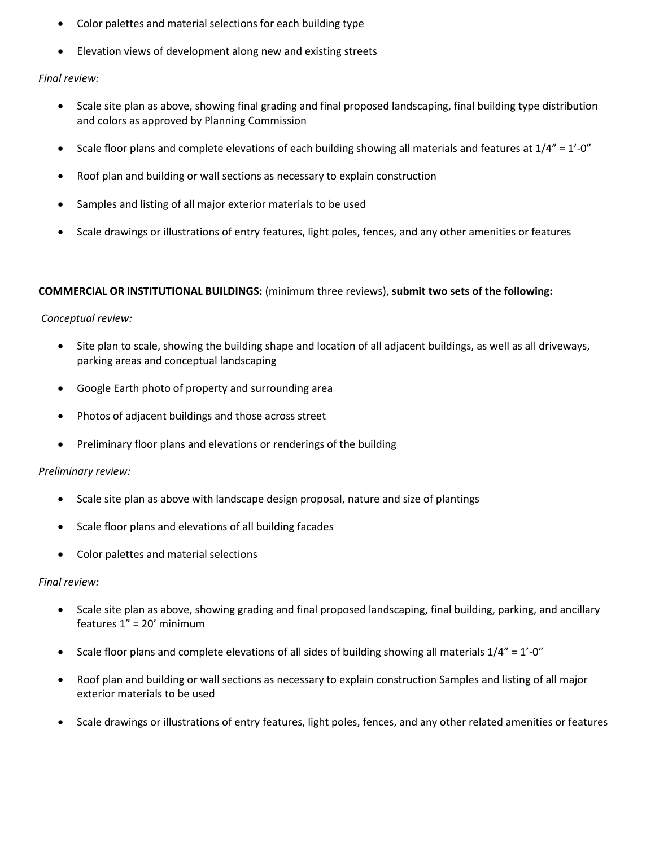- Color palettes and material selections for each building type
- Elevation views of development along new and existing streets

#### *Final review:*

- Scale site plan as above, showing final grading and final proposed landscaping, final building type distribution and colors as approved by Planning Commission
- Scale floor plans and complete elevations of each building showing all materials and features at  $1/4" = 1'$ -0"
- Roof plan and building or wall sections as necessary to explain construction
- Samples and listing of all major exterior materials to be used
- Scale drawings or illustrations of entry features, light poles, fences, and any other amenities or features

#### **COMMERCIAL OR INSTITUTIONAL BUILDINGS:** (minimum three reviews), **submit two sets of the following:**

#### *Conceptual review:*

- Site plan to scale, showing the building shape and location of all adjacent buildings, as well as all driveways, parking areas and conceptual landscaping
- Google Earth photo of property and surrounding area
- Photos of adjacent buildings and those across street
- Preliminary floor plans and elevations or renderings of the building

#### *Preliminary review:*

- Scale site plan as above with landscape design proposal, nature and size of plantings
- Scale floor plans and elevations of all building facades
- Color palettes and material selections

#### *Final review:*

- Scale site plan as above, showing grading and final proposed landscaping, final building, parking, and ancillary features 1" = 20' minimum
- Scale floor plans and complete elevations of all sides of building showing all materials  $1/4" = 1'-0"$
- Roof plan and building or wall sections as necessary to explain construction Samples and listing of all major exterior materials to be used
- Scale drawings or illustrations of entry features, light poles, fences, and any other related amenities or features